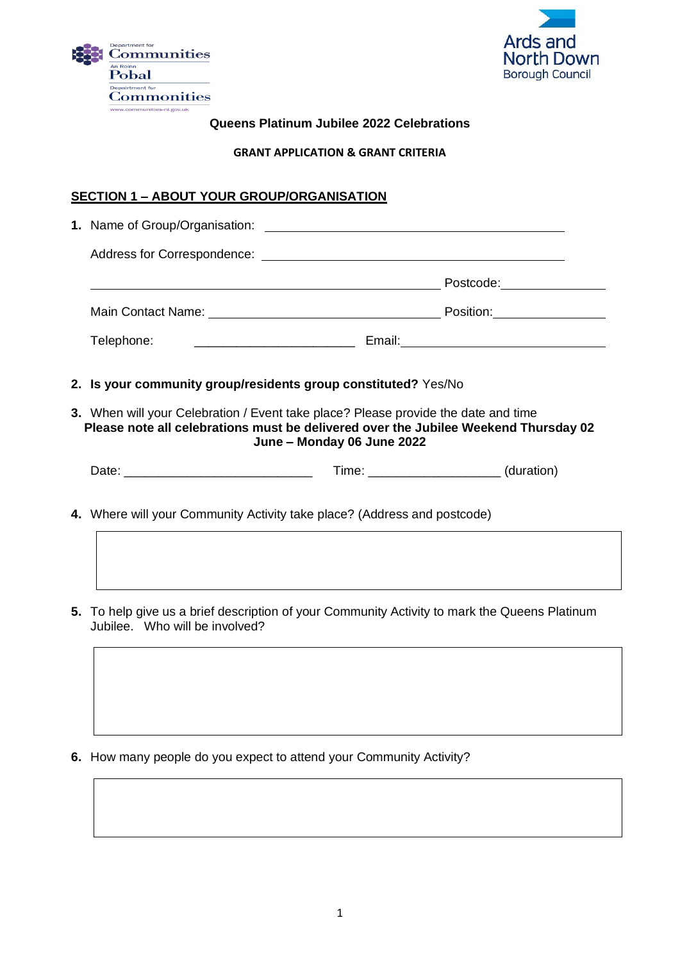



### **Queens Platinum Jubilee 2022 Celebrations**

#### **GRANT APPLICATION & GRANT CRITERIA**

# **SECTION 1 – ABOUT YOUR GROUP/ORGANISATION**

| 1. Name of Group/Organisation: The Same of Science of Science of Science of Science of Science of Science of Science of Science of Science of Science of Science of Science of Science of Science of Science of Science of Sci |  |  |  |  |
|--------------------------------------------------------------------------------------------------------------------------------------------------------------------------------------------------------------------------------|--|--|--|--|
|                                                                                                                                                                                                                                |  |  |  |  |
|                                                                                                                                                                                                                                |  |  |  |  |
|                                                                                                                                                                                                                                |  |  |  |  |
| Telephone:                                                                                                                                                                                                                     |  |  |  |  |
| 2. Is your community group/residents group constituted? Yes/No                                                                                                                                                                 |  |  |  |  |
| 3. When will your Celebration / Event take place? Please provide the date and time<br>Please note all celebrations must be delivered over the Jubilee Weekend Thursday 02<br>June - Monday 06 June 2022                        |  |  |  |  |
|                                                                                                                                                                                                                                |  |  |  |  |
| 4. Where will your Community Activity take place? (Address and postcode)                                                                                                                                                       |  |  |  |  |
|                                                                                                                                                                                                                                |  |  |  |  |

- **5.** To help give us a brief description of your Community Activity to mark the Queens Platinum Jubilee. Who will be involved?
	-
- **6.** How many people do you expect to attend your Community Activity?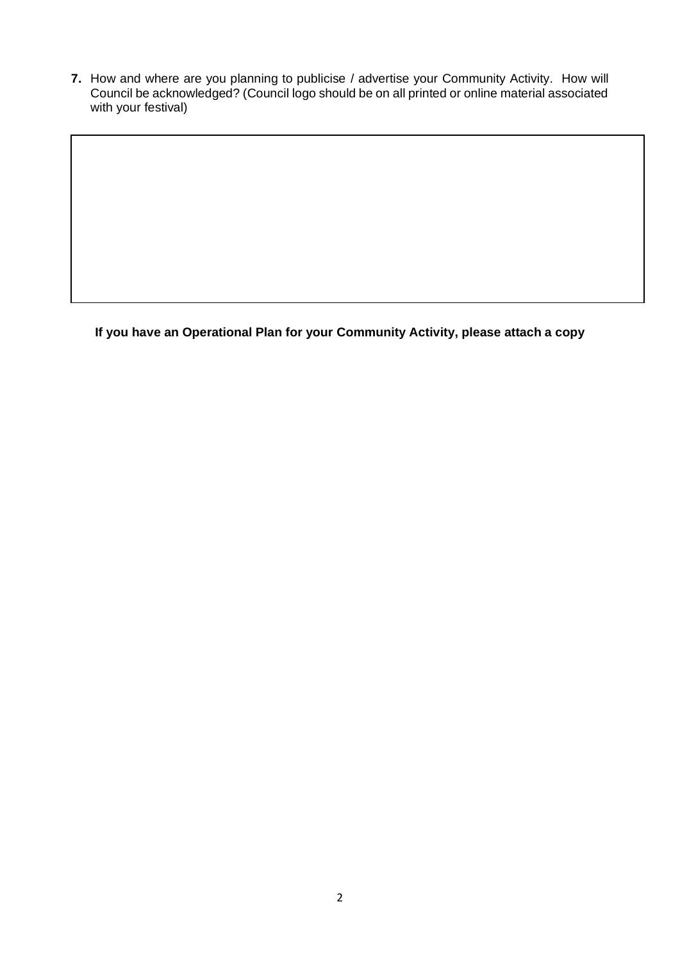**7.** How and where are you planning to publicise / advertise your Community Activity. How will Council be acknowledged? (Council logo should be on all printed or online material associated with your festival)

**If you have an Operational Plan for your Community Activity, please attach a copy**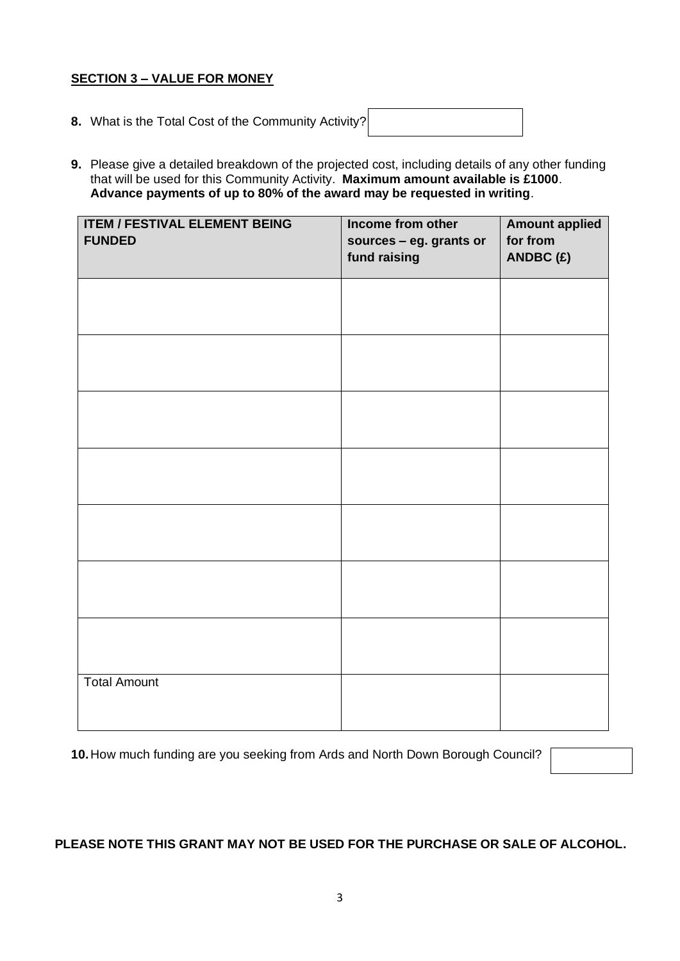### **SECTION 3 – VALUE FOR MONEY**

- **8.** What is the Total Cost of the Community Activity?
- **9.** Please give a detailed breakdown of the projected cost, including details of any other funding that will be used for this Community Activity. **Maximum amount available is £1000**. **Advance payments of up to 80% of the award may be requested in writing**.

| <b>ITEM / FESTIVAL ELEMENT BEING</b><br><b>FUNDED</b> | Income from other<br>sources - eg. grants or<br>fund raising | <b>Amount applied</b><br>for from<br>ANDBC(£) |
|-------------------------------------------------------|--------------------------------------------------------------|-----------------------------------------------|
|                                                       |                                                              |                                               |
|                                                       |                                                              |                                               |
|                                                       |                                                              |                                               |
|                                                       |                                                              |                                               |
|                                                       |                                                              |                                               |
|                                                       |                                                              |                                               |
|                                                       |                                                              |                                               |
| <b>Total Amount</b>                                   |                                                              |                                               |

**10.**How much funding are you seeking from Ards and North Down Borough Council?

# **PLEASE NOTE THIS GRANT MAY NOT BE USED FOR THE PURCHASE OR SALE OF ALCOHOL.**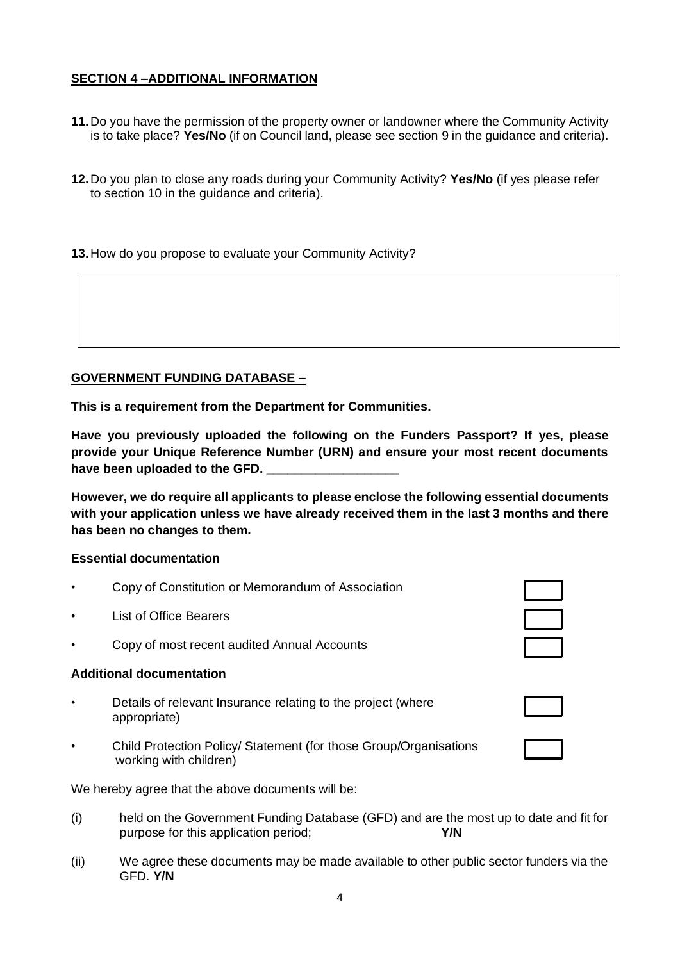### **SECTION 4 –ADDITIONAL INFORMATION**

- **11.**Do you have the permission of the property owner or landowner where the Community Activity is to take place? **Yes/No** (if on Council land, please see section 9 in the guidance and criteria).
- **12.**Do you plan to close any roads during your Community Activity? **Yes/No** (if yes please refer to section 10 in the guidance and criteria).

### **13.**How do you propose to evaluate your Community Activity?

### **GOVERNMENT FUNDING DATABASE –**

**This is a requirement from the Department for Communities.**

**Have you previously uploaded the following on the Funders Passport? If yes, please provide your Unique Reference Number (URN) and ensure your most recent documents**  have been uploaded to the **GFD**.

**However, we do require all applicants to please enclose the following essential documents with your application unless we have already received them in the last 3 months and there has been no changes to them.**

### **Essential documentation**

- Copy of Constitution or Memorandum of Association
- **List of Office Bearers**
- Copy of most recent audited Annual Accounts

#### **Additional documentation**

- Details of relevant Insurance relating to the project (where appropriate)
- Child Protection Policy/ Statement (for those Group/Organisations working with children)

We hereby agree that the above documents will be:

- (i) held on the Government Funding Database (GFD) and are the most up to date and fit for purpose for this application period; **Y/N**
- (ii) We agree these documents may be made available to other public sector funders via the GFD. **Y/N**

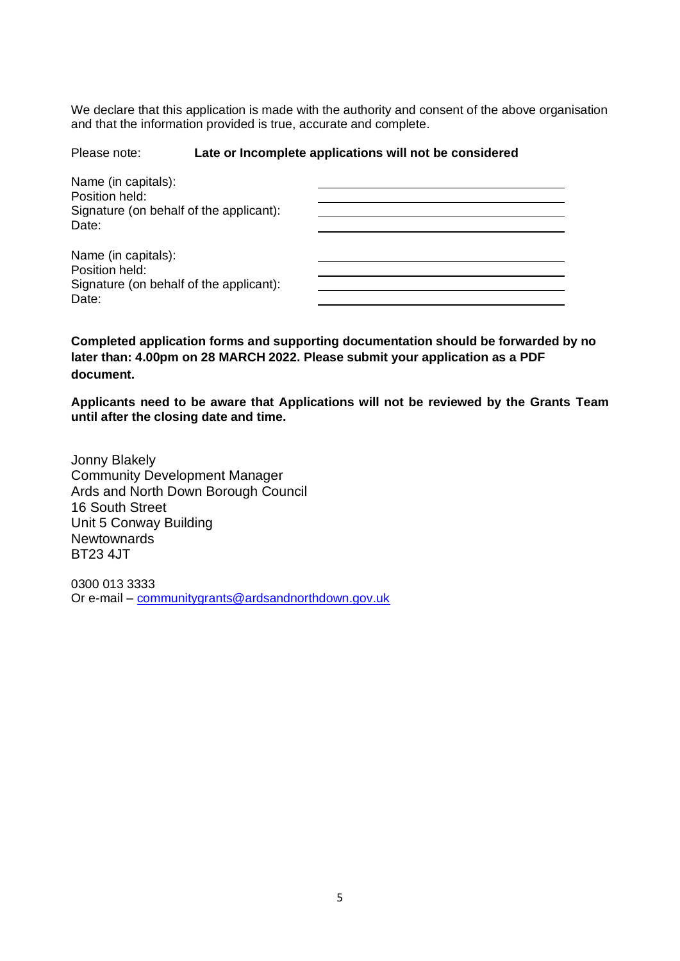We declare that this application is made with the authority and consent of the above organisation and that the information provided is true, accurate and complete.

#### Please note: **Late or Incomplete applications will not be considered**

| Name (in capitals):<br>Position held:<br>Signature (on behalf of the applicant): |  |
|----------------------------------------------------------------------------------|--|
| Date:                                                                            |  |
| Name (in capitals):<br>Position held:                                            |  |
| Signature (on behalf of the applicant):<br>Date:                                 |  |

**Completed application forms and supporting documentation should be forwarded by no later than: 4.00pm on 28 MARCH 2022. Please submit your application as a PDF document.**

**Applicants need to be aware that Applications will not be reviewed by the Grants Team until after the closing date and time.**

Jonny Blakely Community Development Manager Ards and North Down Borough Council 16 South Street Unit 5 Conway Building **Newtownards** BT23 4JT

0300 013 3333 Or e-mail – [communitygrants@ardsandnorthdown.gov.uk](mailto:communitygrants@ardsandnorthdown.gov.uk)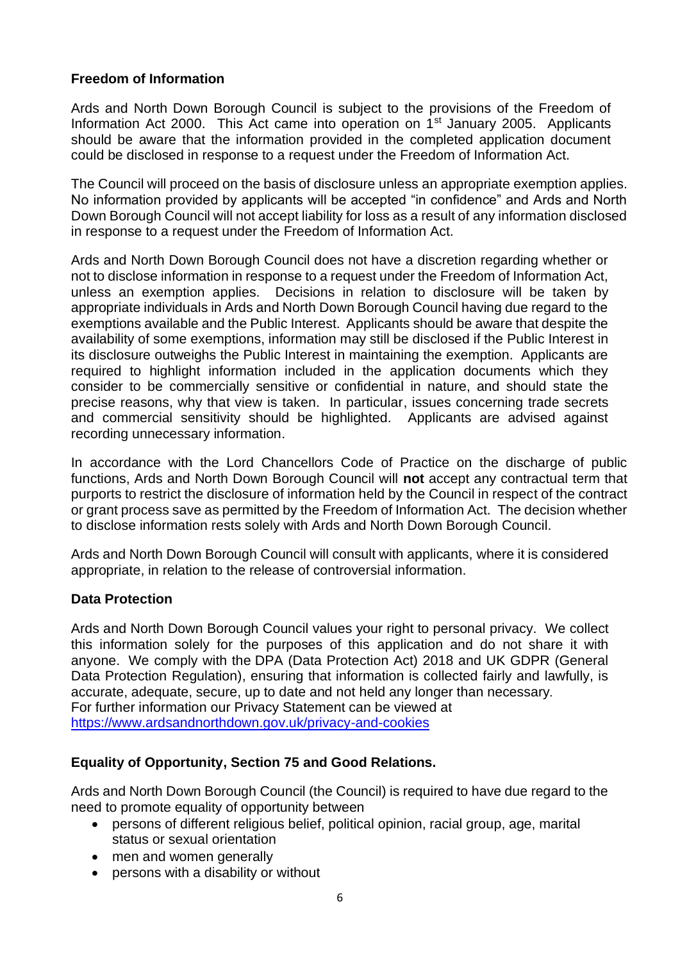# **Freedom of Information**

Ards and North Down Borough Council is subject to the provisions of the Freedom of Information Act 2000. This Act came into operation on  $1<sup>st</sup>$  January 2005. Applicants should be aware that the information provided in the completed application document could be disclosed in response to a request under the Freedom of Information Act.

The Council will proceed on the basis of disclosure unless an appropriate exemption applies. No information provided by applicants will be accepted "in confidence" and Ards and North Down Borough Council will not accept liability for loss as a result of any information disclosed in response to a request under the Freedom of Information Act.

Ards and North Down Borough Council does not have a discretion regarding whether or not to disclose information in response to a request under the Freedom of Information Act, unless an exemption applies. Decisions in relation to disclosure will be taken by appropriate individuals in Ards and North Down Borough Council having due regard to the exemptions available and the Public Interest. Applicants should be aware that despite the availability of some exemptions, information may still be disclosed if the Public Interest in its disclosure outweighs the Public Interest in maintaining the exemption. Applicants are required to highlight information included in the application documents which they consider to be commercially sensitive or confidential in nature, and should state the precise reasons, why that view is taken. In particular, issues concerning trade secrets and commercial sensitivity should be highlighted. Applicants are advised against recording unnecessary information.

In accordance with the Lord Chancellors Code of Practice on the discharge of public functions, Ards and North Down Borough Council will **not** accept any contractual term that purports to restrict the disclosure of information held by the Council in respect of the contract or grant process save as permitted by the Freedom of Information Act. The decision whether to disclose information rests solely with Ards and North Down Borough Council.

Ards and North Down Borough Council will consult with applicants, where it is considered appropriate, in relation to the release of controversial information.

# **Data Protection**

Ards and North Down Borough Council values your right to personal privacy. We collect this information solely for the purposes of this application and do not share it with anyone. We comply with the DPA (Data Protection Act) 2018 and UK GDPR (General Data Protection Regulation), ensuring that information is collected fairly and lawfully, is accurate, adequate, secure, up to date and not held any longer than necessary**.**  For further information our Privacy Statement can be viewed at [https://www.ardsandnorthdown.gov.uk/privacy-and-cookies](https://eur01.safelinks.protection.outlook.com/?url=https%3A%2F%2Fwww.ardsandnorthdown.gov.uk%2Fprivacy-and-cookies&data=04%7C01%7Canne.lendrum%40ardsandnorthdown.gov.uk%7Cf720ee16c62c4f7d4c7708d9e00d3fb2%7C39416dee5c8e4f5cb59d05c4bd0dd472%7C0%7C0%7C637787169765990001%7CUnknown%7CTWFpbGZsb3d8eyJWIjoiMC4wLjAwMDAiLCJQIjoiV2luMzIiLCJBTiI6Ik1haWwiLCJXVCI6Mn0%3D%7C3000&sdata=BuZ76ilI40Ef%2B7Kk4E62iBYfc5pkLJFDmZD8Xs58Z98%3D&reserved=0)

# **Equality of Opportunity, Section 75 and Good Relations.**

Ards and North Down Borough Council (the Council) is required to have due regard to the need to promote equality of opportunity between

- persons of different religious belief, political opinion, racial group, age, marital status or sexual orientation
- men and women generally
- persons with a disability or without